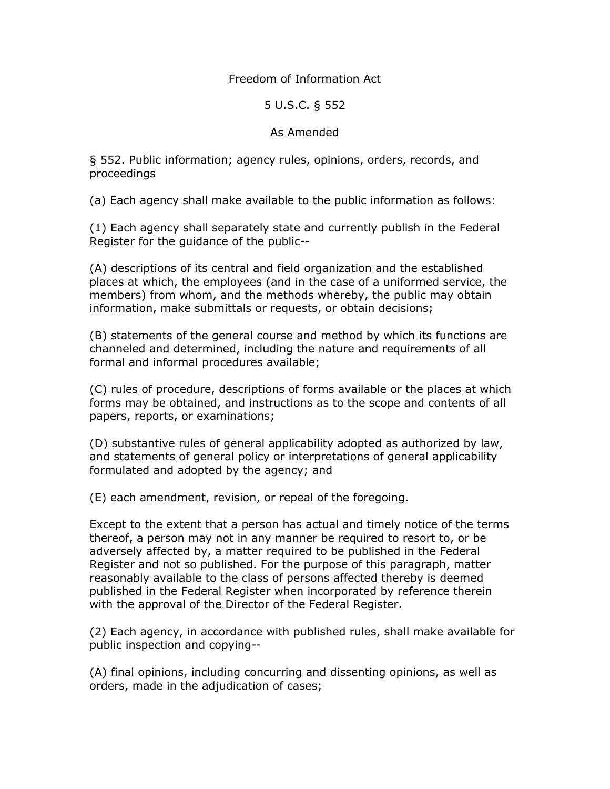## Freedom of Information Act

## 5 U.S.C. § 552

## As Amended

§ 552. Public information; agency rules, opinions, orders, records, and proceedings

(a) Each agency shall make available to the public information as follows:

(1) Each agency shall separately state and currently publish in the Federal Register for the guidance of the public--

(A) descriptions of its central and field organization and the established places at which, the employees (and in the case of a uniformed service, the members) from whom, and the methods whereby, the public may obtain information, make submittals or requests, or obtain decisions;

(B) statements of the general course and method by which its functions are channeled and determined, including the nature and requirements of all formal and informal procedures available;

(C) rules of procedure, descriptions of forms available or the places at which forms may be obtained, and instructions as to the scope and contents of all papers, reports, or examinations;

(D) substantive rules of general applicability adopted as authorized by law, and statements of general policy or interpretations of general applicability formulated and adopted by the agency; and

(E) each amendment, revision, or repeal of the foregoing.

Except to the extent that a person has actual and timely notice of the terms thereof, a person may not in any manner be required to resort to, or be adversely affected by, a matter required to be published in the Federal Register and not so published. For the purpose of this paragraph, matter reasonably available to the class of persons affected thereby is deemed published in the Federal Register when incorporated by reference therein with the approval of the Director of the Federal Register.

(2) Each agency, in accordance with published rules, shall make available for public inspection and copying--

(A) final opinions, including concurring and dissenting opinions, as well as orders, made in the adjudication of cases;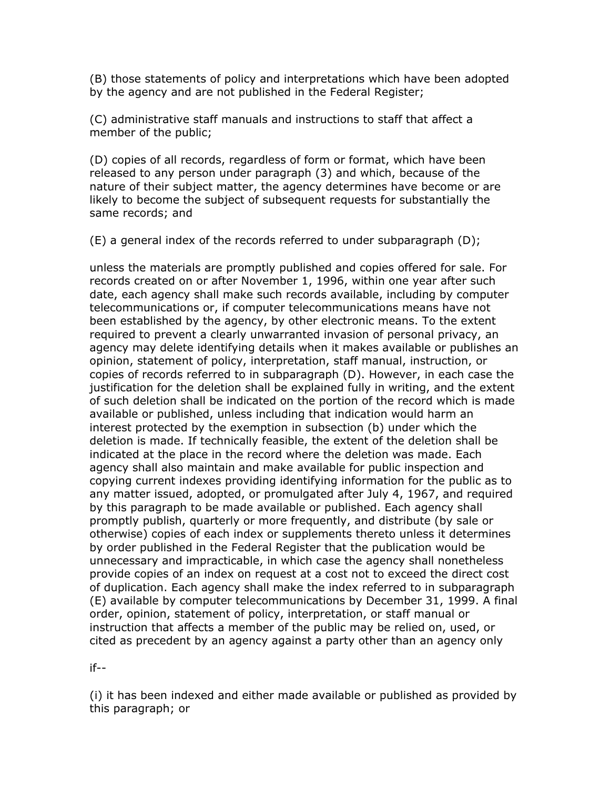(B) those statements of policy and interpretations which have been adopted by the agency and are not published in the Federal Register;

(C) administrative staff manuals and instructions to staff that affect a member of the public;

(D) copies of all records, regardless of form or format, which have been released to any person under paragraph (3) and which, because of the nature of their subject matter, the agency determines have become or are likely to become the subject of subsequent requests for substantially the same records; and

(E) a general index of the records referred to under subparagraph (D);

unless the materials are promptly published and copies offered for sale. For records created on or after November 1, 1996, within one year after such date, each agency shall make such records available, including by computer telecommunications or, if computer telecommunications means have not been established by the agency, by other electronic means. To the extent required to prevent a clearly unwarranted invasion of personal privacy, an agency may delete identifying details when it makes available or publishes an opinion, statement of policy, interpretation, staff manual, instruction, or copies of records referred to in subparagraph (D). However, in each case the justification for the deletion shall be explained fully in writing, and the extent of such deletion shall be indicated on the portion of the record which is made available or published, unless including that indication would harm an interest protected by the exemption in subsection (b) under which the deletion is made. If technically feasible, the extent of the deletion shall be indicated at the place in the record where the deletion was made. Each agency shall also maintain and make available for public inspection and copying current indexes providing identifying information for the public as to any matter issued, adopted, or promulgated after July 4, 1967, and required by this paragraph to be made available or published. Each agency shall promptly publish, quarterly or more frequently, and distribute (by sale or otherwise) copies of each index or supplements thereto unless it determines by order published in the Federal Register that the publication would be unnecessary and impracticable, in which case the agency shall nonetheless provide copies of an index on request at a cost not to exceed the direct cost of duplication. Each agency shall make the index referred to in subparagraph (E) available by computer telecommunications by December 31, 1999. A final order, opinion, statement of policy, interpretation, or staff manual or instruction that affects a member of the public may be relied on, used, or cited as precedent by an agency against a party other than an agency only

if--

(i) it has been indexed and either made available or published as provided by this paragraph; or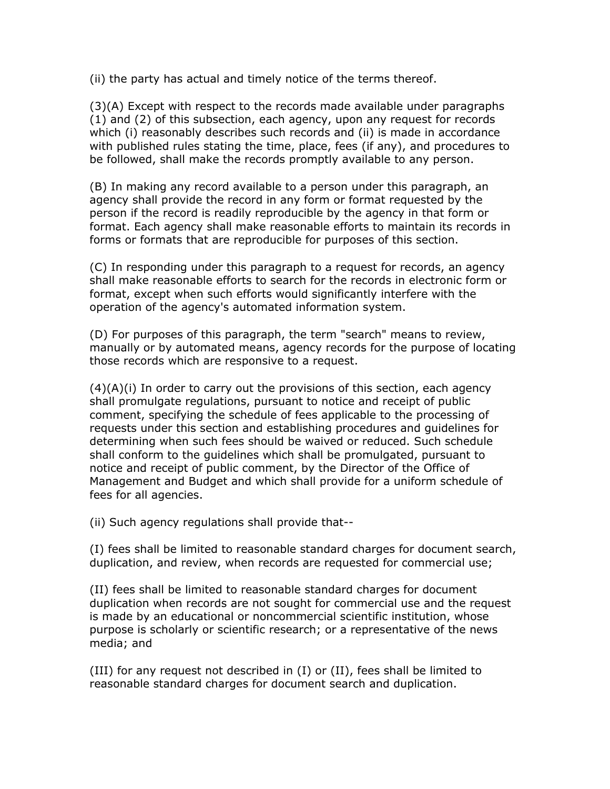(ii) the party has actual and timely notice of the terms thereof.

(3)(A) Except with respect to the records made available under paragraphs (1) and (2) of this subsection, each agency, upon any request for records which (i) reasonably describes such records and (ii) is made in accordance with published rules stating the time, place, fees (if any), and procedures to be followed, shall make the records promptly available to any person.

(B) In making any record available to a person under this paragraph, an agency shall provide the record in any form or format requested by the person if the record is readily reproducible by the agency in that form or format. Each agency shall make reasonable efforts to maintain its records in forms or formats that are reproducible for purposes of this section.

(C) In responding under this paragraph to a request for records, an agency shall make reasonable efforts to search for the records in electronic form or format, except when such efforts would significantly interfere with the operation of the agency's automated information system.

(D) For purposes of this paragraph, the term "search" means to review, manually or by automated means, agency records for the purpose of locating those records which are responsive to a request.

 $(4)(A)(i)$  In order to carry out the provisions of this section, each agency shall promulgate regulations, pursuant to notice and receipt of public comment, specifying the schedule of fees applicable to the processing of requests under this section and establishing procedures and guidelines for determining when such fees should be waived or reduced. Such schedule shall conform to the guidelines which shall be promulgated, pursuant to notice and receipt of public comment, by the Director of the Office of Management and Budget and which shall provide for a uniform schedule of fees for all agencies.

(ii) Such agency regulations shall provide that--

(I) fees shall be limited to reasonable standard charges for document search, duplication, and review, when records are requested for commercial use;

(II) fees shall be limited to reasonable standard charges for document duplication when records are not sought for commercial use and the request is made by an educational or noncommercial scientific institution, whose purpose is scholarly or scientific research; or a representative of the news media; and

(III) for any request not described in (I) or (II), fees shall be limited to reasonable standard charges for document search and duplication.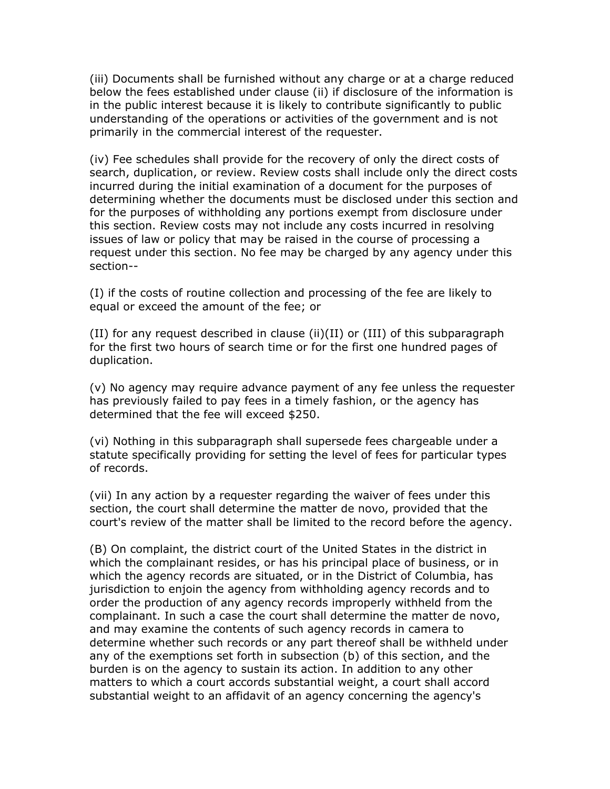(iii) Documents shall be furnished without any charge or at a charge reduced below the fees established under clause (ii) if disclosure of the information is in the public interest because it is likely to contribute significantly to public understanding of the operations or activities of the government and is not primarily in the commercial interest of the requester.

(iv) Fee schedules shall provide for the recovery of only the direct costs of search, duplication, or review. Review costs shall include only the direct costs incurred during the initial examination of a document for the purposes of determining whether the documents must be disclosed under this section and for the purposes of withholding any portions exempt from disclosure under this section. Review costs may not include any costs incurred in resolving issues of law or policy that may be raised in the course of processing a request under this section. No fee may be charged by any agency under this section--

(I) if the costs of routine collection and processing of the fee are likely to equal or exceed the amount of the fee; or

(II) for any request described in clause (ii)(II) or (III) of this subparagraph for the first two hours of search time or for the first one hundred pages of duplication.

(v) No agency may require advance payment of any fee unless the requester has previously failed to pay fees in a timely fashion, or the agency has determined that the fee will exceed \$250.

(vi) Nothing in this subparagraph shall supersede fees chargeable under a statute specifically providing for setting the level of fees for particular types of records.

(vii) In any action by a requester regarding the waiver of fees under this section, the court shall determine the matter de novo, provided that the court's review of the matter shall be limited to the record before the agency.

(B) On complaint, the district court of the United States in the district in which the complainant resides, or has his principal place of business, or in which the agency records are situated, or in the District of Columbia, has jurisdiction to enjoin the agency from withholding agency records and to order the production of any agency records improperly withheld from the complainant. In such a case the court shall determine the matter de novo, and may examine the contents of such agency records in camera to determine whether such records or any part thereof shall be withheld under any of the exemptions set forth in subsection (b) of this section, and the burden is on the agency to sustain its action. In addition to any other matters to which a court accords substantial weight, a court shall accord substantial weight to an affidavit of an agency concerning the agency's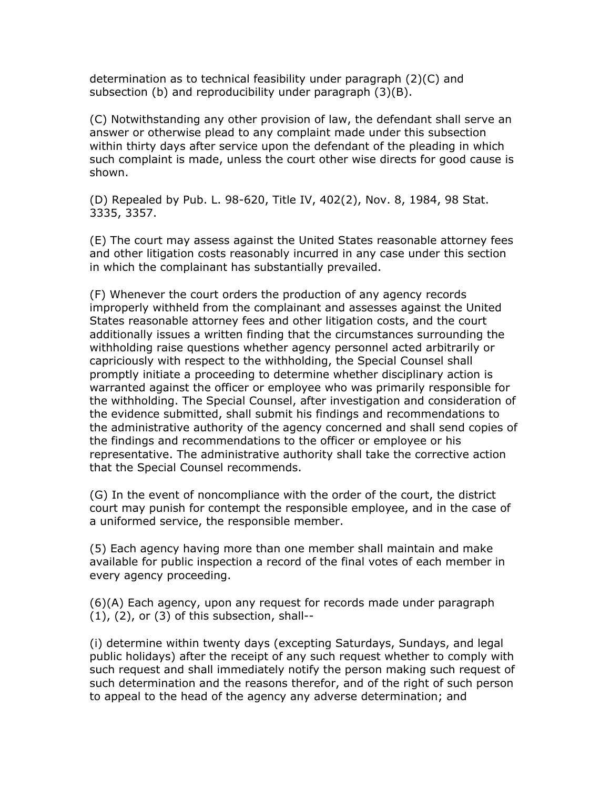determination as to technical feasibility under paragraph (2)(C) and subsection (b) and reproducibility under paragraph (3)(B).

(C) Notwithstanding any other provision of law, the defendant shall serve an answer or otherwise plead to any complaint made under this subsection within thirty days after service upon the defendant of the pleading in which such complaint is made, unless the court other wise directs for good cause is shown.

(D) Repealed by Pub. L. 98-620, Title IV, 402(2), Nov. 8, 1984, 98 Stat. 3335, 3357.

(E) The court may assess against the United States reasonable attorney fees and other litigation costs reasonably incurred in any case under this section in which the complainant has substantially prevailed.

(F) Whenever the court orders the production of any agency records improperly withheld from the complainant and assesses against the United States reasonable attorney fees and other litigation costs, and the court additionally issues a written finding that the circumstances surrounding the withholding raise questions whether agency personnel acted arbitrarily or capriciously with respect to the withholding, the Special Counsel shall promptly initiate a proceeding to determine whether disciplinary action is warranted against the officer or employee who was primarily responsible for the withholding. The Special Counsel, after investigation and consideration of the evidence submitted, shall submit his findings and recommendations to the administrative authority of the agency concerned and shall send copies of the findings and recommendations to the officer or employee or his representative. The administrative authority shall take the corrective action that the Special Counsel recommends.

(G) In the event of noncompliance with the order of the court, the district court may punish for contempt the responsible employee, and in the case of a uniformed service, the responsible member.

(5) Each agency having more than one member shall maintain and make available for public inspection a record of the final votes of each member in every agency proceeding.

(6)(A) Each agency, upon any request for records made under paragraph  $(1)$ ,  $(2)$ , or  $(3)$  of this subsection, shall--

(i) determine within twenty days (excepting Saturdays, Sundays, and legal public holidays) after the receipt of any such request whether to comply with such request and shall immediately notify the person making such request of such determination and the reasons therefor, and of the right of such person to appeal to the head of the agency any adverse determination; and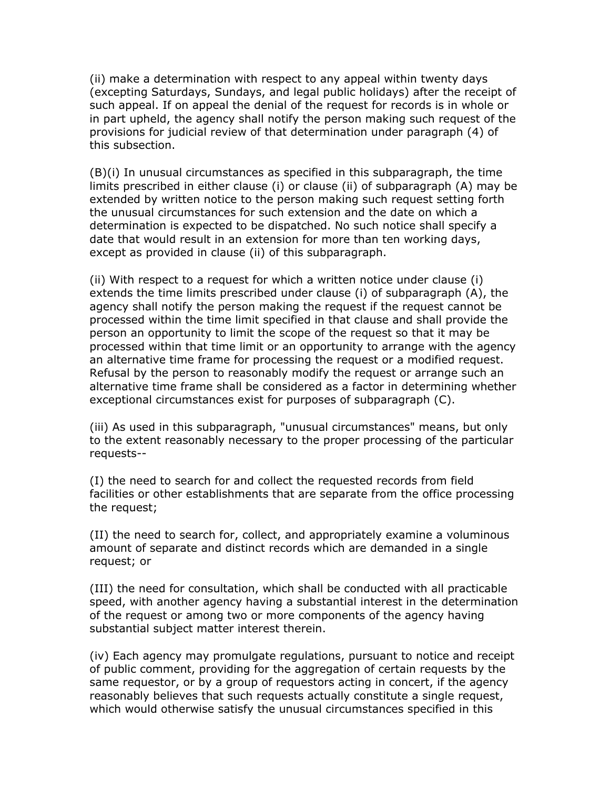(ii) make a determination with respect to any appeal within twenty days (excepting Saturdays, Sundays, and legal public holidays) after the receipt of such appeal. If on appeal the denial of the request for records is in whole or in part upheld, the agency shall notify the person making such request of the provisions for judicial review of that determination under paragraph (4) of this subsection.

(B)(i) In unusual circumstances as specified in this subparagraph, the time limits prescribed in either clause (i) or clause (ii) of subparagraph (A) may be extended by written notice to the person making such request setting forth the unusual circumstances for such extension and the date on which a determination is expected to be dispatched. No such notice shall specify a date that would result in an extension for more than ten working days, except as provided in clause (ii) of this subparagraph.

(ii) With respect to a request for which a written notice under clause (i) extends the time limits prescribed under clause (i) of subparagraph (A), the agency shall notify the person making the request if the request cannot be processed within the time limit specified in that clause and shall provide the person an opportunity to limit the scope of the request so that it may be processed within that time limit or an opportunity to arrange with the agency an alternative time frame for processing the request or a modified request. Refusal by the person to reasonably modify the request or arrange such an alternative time frame shall be considered as a factor in determining whether exceptional circumstances exist for purposes of subparagraph (C).

(iii) As used in this subparagraph, "unusual circumstances" means, but only to the extent reasonably necessary to the proper processing of the particular requests--

(I) the need to search for and collect the requested records from field facilities or other establishments that are separate from the office processing the request;

(II) the need to search for, collect, and appropriately examine a voluminous amount of separate and distinct records which are demanded in a single request; or

(III) the need for consultation, which shall be conducted with all practicable speed, with another agency having a substantial interest in the determination of the request or among two or more components of the agency having substantial subject matter interest therein.

(iv) Each agency may promulgate regulations, pursuant to notice and receipt of public comment, providing for the aggregation of certain requests by the same requestor, or by a group of requestors acting in concert, if the agency reasonably believes that such requests actually constitute a single request, which would otherwise satisfy the unusual circumstances specified in this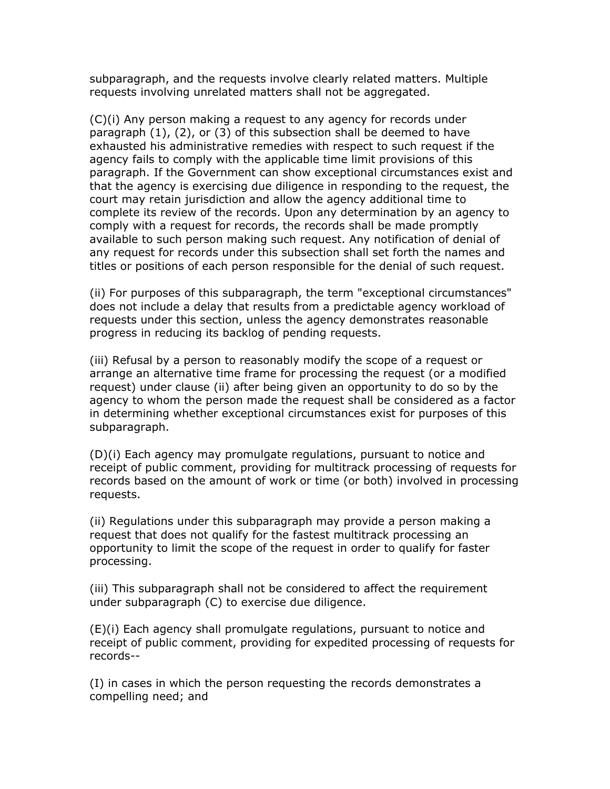subparagraph, and the requests involve clearly related matters. Multiple requests involving unrelated matters shall not be aggregated.

(C)(i) Any person making a request to any agency for records under paragraph  $(1)$ ,  $(2)$ , or  $(3)$  of this subsection shall be deemed to have exhausted his administrative remedies with respect to such request if the agency fails to comply with the applicable time limit provisions of this paragraph. If the Government can show exceptional circumstances exist and that the agency is exercising due diligence in responding to the request, the court may retain jurisdiction and allow the agency additional time to complete its review of the records. Upon any determination by an agency to comply with a request for records, the records shall be made promptly available to such person making such request. Any notification of denial of any request for records under this subsection shall set forth the names and titles or positions of each person responsible for the denial of such request.

(ii) For purposes of this subparagraph, the term "exceptional circumstances" does not include a delay that results from a predictable agency workload of requests under this section, unless the agency demonstrates reasonable progress in reducing its backlog of pending requests.

(iii) Refusal by a person to reasonably modify the scope of a request or arrange an alternative time frame for processing the request (or a modified request) under clause (ii) after being given an opportunity to do so by the agency to whom the person made the request shall be considered as a factor in determining whether exceptional circumstances exist for purposes of this subparagraph.

(D)(i) Each agency may promulgate regulations, pursuant to notice and receipt of public comment, providing for multitrack processing of requests for records based on the amount of work or time (or both) involved in processing requests.

(ii) Regulations under this subparagraph may provide a person making a request that does not qualify for the fastest multitrack processing an opportunity to limit the scope of the request in order to qualify for faster processing.

(iii) This subparagraph shall not be considered to affect the requirement under subparagraph (C) to exercise due diligence.

(E)(i) Each agency shall promulgate regulations, pursuant to notice and receipt of public comment, providing for expedited processing of requests for records--

(I) in cases in which the person requesting the records demonstrates a compelling need; and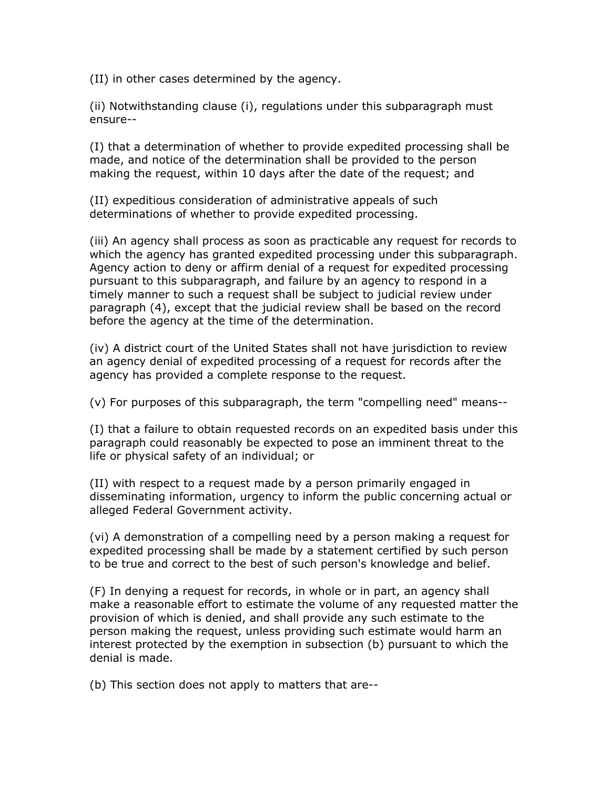(II) in other cases determined by the agency.

(ii) Notwithstanding clause (i), regulations under this subparagraph must ensure--

(I) that a determination of whether to provide expedited processing shall be made, and notice of the determination shall be provided to the person making the request, within 10 days after the date of the request; and

(II) expeditious consideration of administrative appeals of such determinations of whether to provide expedited processing.

(iii) An agency shall process as soon as practicable any request for records to which the agency has granted expedited processing under this subparagraph. Agency action to deny or affirm denial of a request for expedited processing pursuant to this subparagraph, and failure by an agency to respond in a timely manner to such a request shall be subject to judicial review under paragraph (4), except that the judicial review shall be based on the record before the agency at the time of the determination.

(iv) A district court of the United States shall not have jurisdiction to review an agency denial of expedited processing of a request for records after the agency has provided a complete response to the request.

(v) For purposes of this subparagraph, the term "compelling need" means--

(I) that a failure to obtain requested records on an expedited basis under this paragraph could reasonably be expected to pose an imminent threat to the life or physical safety of an individual; or

(II) with respect to a request made by a person primarily engaged in disseminating information, urgency to inform the public concerning actual or alleged Federal Government activity.

(vi) A demonstration of a compelling need by a person making a request for expedited processing shall be made by a statement certified by such person to be true and correct to the best of such person's knowledge and belief.

(F) In denying a request for records, in whole or in part, an agency shall make a reasonable effort to estimate the volume of any requested matter the provision of which is denied, and shall provide any such estimate to the person making the request, unless providing such estimate would harm an interest protected by the exemption in subsection (b) pursuant to which the denial is made.

(b) This section does not apply to matters that are--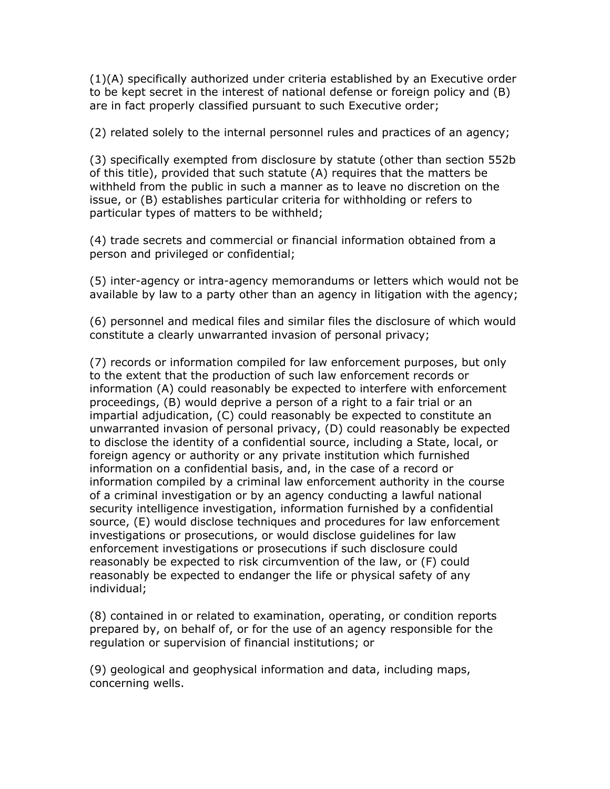(1)(A) specifically authorized under criteria established by an Executive order to be kept secret in the interest of national defense or foreign policy and (B) are in fact properly classified pursuant to such Executive order;

(2) related solely to the internal personnel rules and practices of an agency;

(3) specifically exempted from disclosure by statute (other than section 552b of this title), provided that such statute (A) requires that the matters be withheld from the public in such a manner as to leave no discretion on the issue, or (B) establishes particular criteria for withholding or refers to particular types of matters to be withheld;

(4) trade secrets and commercial or financial information obtained from a person and privileged or confidential;

(5) inter-agency or intra-agency memorandums or letters which would not be available by law to a party other than an agency in litigation with the agency;

(6) personnel and medical files and similar files the disclosure of which would constitute a clearly unwarranted invasion of personal privacy;

(7) records or information compiled for law enforcement purposes, but only to the extent that the production of such law enforcement records or information (A) could reasonably be expected to interfere with enforcement proceedings, (B) would deprive a person of a right to a fair trial or an impartial adjudication, (C) could reasonably be expected to constitute an unwarranted invasion of personal privacy, (D) could reasonably be expected to disclose the identity of a confidential source, including a State, local, or foreign agency or authority or any private institution which furnished information on a confidential basis, and, in the case of a record or information compiled by a criminal law enforcement authority in the course of a criminal investigation or by an agency conducting a lawful national security intelligence investigation, information furnished by a confidential source, (E) would disclose techniques and procedures for law enforcement investigations or prosecutions, or would disclose guidelines for law enforcement investigations or prosecutions if such disclosure could reasonably be expected to risk circumvention of the law, or (F) could reasonably be expected to endanger the life or physical safety of any individual;

(8) contained in or related to examination, operating, or condition reports prepared by, on behalf of, or for the use of an agency responsible for the regulation or supervision of financial institutions; or

(9) geological and geophysical information and data, including maps, concerning wells.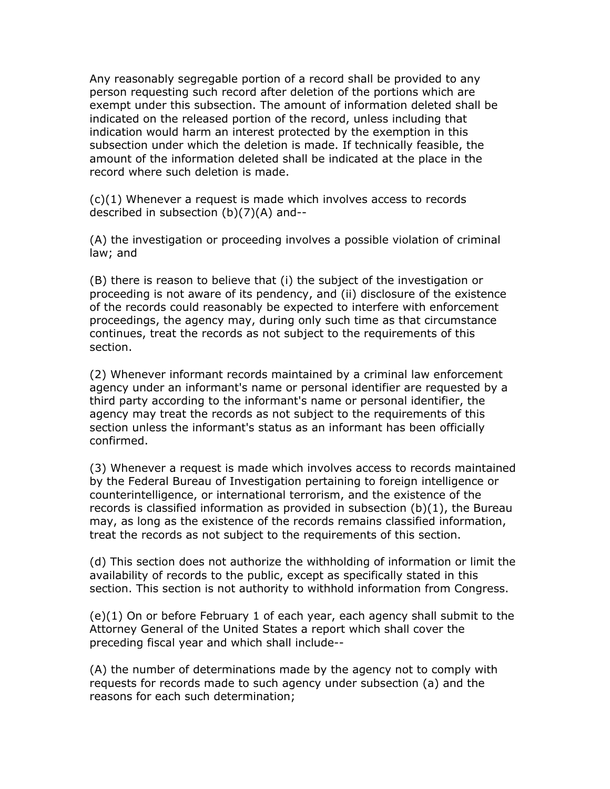Any reasonably segregable portion of a record shall be provided to any person requesting such record after deletion of the portions which are exempt under this subsection. The amount of information deleted shall be indicated on the released portion of the record, unless including that indication would harm an interest protected by the exemption in this subsection under which the deletion is made. If technically feasible, the amount of the information deleted shall be indicated at the place in the record where such deletion is made.

(c)(1) Whenever a request is made which involves access to records described in subsection (b)(7)(A) and--

(A) the investigation or proceeding involves a possible violation of criminal law; and

(B) there is reason to believe that (i) the subject of the investigation or proceeding is not aware of its pendency, and (ii) disclosure of the existence of the records could reasonably be expected to interfere with enforcement proceedings, the agency may, during only such time as that circumstance continues, treat the records as not subject to the requirements of this section.

(2) Whenever informant records maintained by a criminal law enforcement agency under an informant's name or personal identifier are requested by a third party according to the informant's name or personal identifier, the agency may treat the records as not subject to the requirements of this section unless the informant's status as an informant has been officially confirmed.

(3) Whenever a request is made which involves access to records maintained by the Federal Bureau of Investigation pertaining to foreign intelligence or counterintelligence, or international terrorism, and the existence of the records is classified information as provided in subsection (b)(1), the Bureau may, as long as the existence of the records remains classified information, treat the records as not subject to the requirements of this section.

(d) This section does not authorize the withholding of information or limit the availability of records to the public, except as specifically stated in this section. This section is not authority to withhold information from Congress.

(e)(1) On or before February 1 of each year, each agency shall submit to the Attorney General of the United States a report which shall cover the preceding fiscal year and which shall include--

(A) the number of determinations made by the agency not to comply with requests for records made to such agency under subsection (a) and the reasons for each such determination;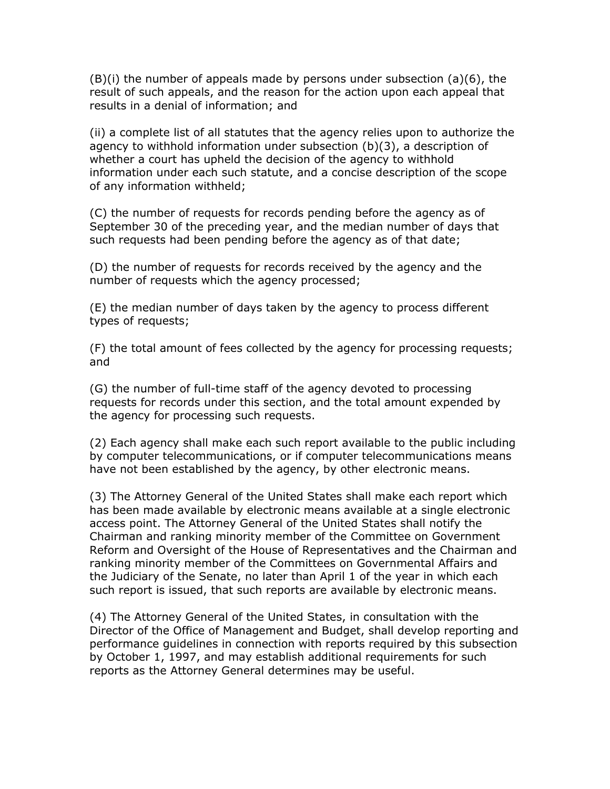(B)(i) the number of appeals made by persons under subsection (a)(6), the result of such appeals, and the reason for the action upon each appeal that results in a denial of information; and

(ii) a complete list of all statutes that the agency relies upon to authorize the agency to withhold information under subsection (b)(3), a description of whether a court has upheld the decision of the agency to withhold information under each such statute, and a concise description of the scope of any information withheld;

(C) the number of requests for records pending before the agency as of September 30 of the preceding year, and the median number of days that such requests had been pending before the agency as of that date;

(D) the number of requests for records received by the agency and the number of requests which the agency processed;

(E) the median number of days taken by the agency to process different types of requests;

(F) the total amount of fees collected by the agency for processing requests; and

(G) the number of full-time staff of the agency devoted to processing requests for records under this section, and the total amount expended by the agency for processing such requests.

(2) Each agency shall make each such report available to the public including by computer telecommunications, or if computer telecommunications means have not been established by the agency, by other electronic means.

(3) The Attorney General of the United States shall make each report which has been made available by electronic means available at a single electronic access point. The Attorney General of the United States shall notify the Chairman and ranking minority member of the Committee on Government Reform and Oversight of the House of Representatives and the Chairman and ranking minority member of the Committees on Governmental Affairs and the Judiciary of the Senate, no later than April 1 of the year in which each such report is issued, that such reports are available by electronic means.

(4) The Attorney General of the United States, in consultation with the Director of the Office of Management and Budget, shall develop reporting and performance guidelines in connection with reports required by this subsection by October 1, 1997, and may establish additional requirements for such reports as the Attorney General determines may be useful.